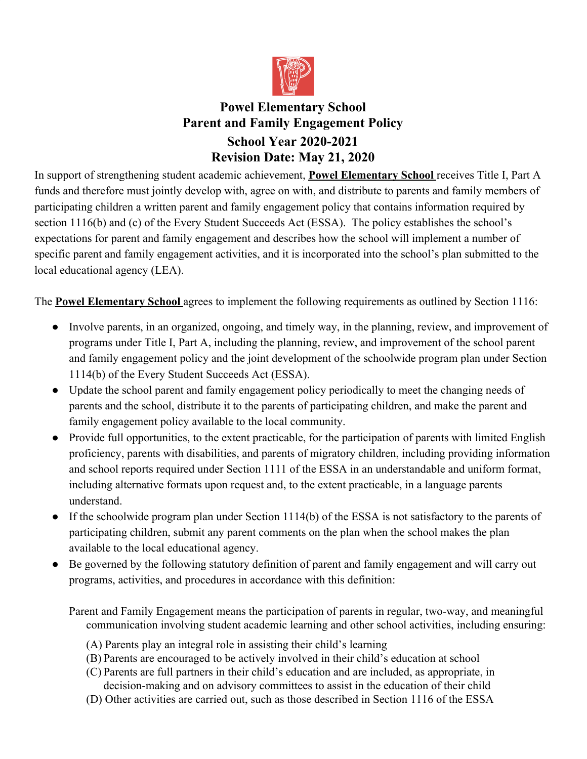

# **Powel Elementary School Parent and Family Engagement Policy School Year 2020-2021 Revision Date: May 21, 2020**

In support of strengthening student academic achievement, **Powel Elementary School** receives Title I, Part A funds and therefore must jointly develop with, agree on with, and distribute to parents and family members of participating children a written parent and family engagement policy that contains information required by section 1116(b) and (c) of the Every Student Succeeds Act (ESSA). The policy establishes the school's expectations for parent and family engagement and describes how the school will implement a number of specific parent and family engagement activities, and it is incorporated into the school's plan submitted to the local educational agency (LEA).

The **Powel Elementary School** agrees to implement the following requirements as outlined by Section 1116:

- Involve parents, in an organized, ongoing, and timely way, in the planning, review, and improvement of programs under Title I, Part A, including the planning, review, and improvement of the school parent and family engagement policy and the joint development of the schoolwide program plan under Section 1114(b) of the Every Student Succeeds Act (ESSA).
- Update the school parent and family engagement policy periodically to meet the changing needs of parents and the school, distribute it to the parents of participating children, and make the parent and family engagement policy available to the local community.
- Provide full opportunities, to the extent practicable, for the participation of parents with limited English proficiency, parents with disabilities, and parents of migratory children, including providing information and school reports required under Section 1111 of the ESSA in an understandable and uniform format, including alternative formats upon request and, to the extent practicable, in a language parents understand.
- If the schoolwide program plan under Section 1114(b) of the ESSA is not satisfactory to the parents of participating children, submit any parent comments on the plan when the school makes the plan available to the local educational agency.
- Be governed by the following statutory definition of parent and family engagement and will carry out programs, activities, and procedures in accordance with this definition:

Parent and Family Engagement means the participation of parents in regular, two-way, and meaningful communication involving student academic learning and other school activities, including ensuring:

- (A) Parents play an integral role in assisting their child's learning
- (B) Parents are encouraged to be actively involved in their child's education at school
- (C) Parents are full partners in their child's education and are included, as appropriate, in decision-making and on advisory committees to assist in the education of their child
- (D) Other activities are carried out, such as those described in Section 1116 of the ESSA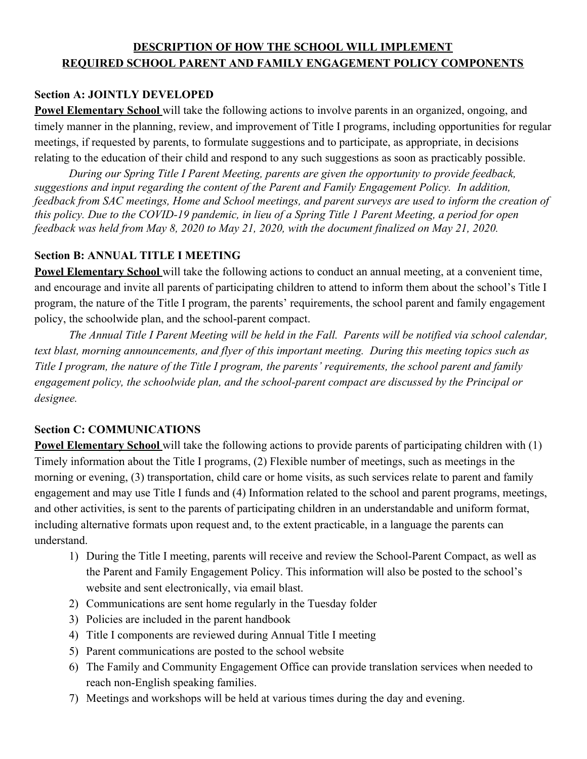## **DESCRIPTION OF HOW THE SCHOOL WILL IMPLEMENT REQUIRED SCHOOL PARENT AND FAMILY ENGAGEMENT POLICY COMPONENTS**

#### **Section A: JOINTLY DEVELOPED**

**Powel Elementary School** will take the following actions to involve parents in an organized, ongoing, and timely manner in the planning, review, and improvement of Title I programs, including opportunities for regular meetings, if requested by parents, to formulate suggestions and to participate, as appropriate, in decisions relating to the education of their child and respond to any such suggestions as soon as practicably possible.

*During our Spring Title I Parent Meeting, parents are given the opportunity to provide feedback, suggestions and input regarding the content of the Parent and Family Engagement Policy. In addition, feedback from SAC meetings, Home and School meetings, and parent surveys are used to inform the creation of this policy. Due to the COVID-19 pandemic, in lieu of a Spring Title 1 Parent Meeting, a period for open feedback was held from May 8, 2020 to May 21, 2020, with the document finalized on May 21, 2020.*

#### **Section B: ANNUAL TITLE I MEETING**

**Powel Elementary School** will take the following actions to conduct an annual meeting, at a convenient time, and encourage and invite all parents of participating children to attend to inform them about the school's Title I program, the nature of the Title I program, the parents' requirements, the school parent and family engagement policy, the schoolwide plan, and the school-parent compact.

*The Annual Title I Parent Meeting will be held in the Fall. Parents will be notified via school calendar, text blast, morning announcements, and flyer of this important meeting. During this meeting topics such as Title I program, the nature of the Title I program, the parents' requirements, the school parent and family engagement policy, the schoolwide plan, and the school-parent compact are discussed by the Principal or designee.*

#### **Section C: COMMUNICATIONS**

**Powel Elementary School** will take the following actions to provide parents of participating children with (1) Timely information about the Title I programs, (2) Flexible number of meetings, such as meetings in the morning or evening, (3) transportation, child care or home visits, as such services relate to parent and family engagement and may use Title I funds and (4) Information related to the school and parent programs, meetings, and other activities, is sent to the parents of participating children in an understandable and uniform format, including alternative formats upon request and, to the extent practicable, in a language the parents can understand.

- 1) During the Title I meeting, parents will receive and review the School-Parent Compact, as well as the Parent and Family Engagement Policy. This information will also be posted to the school's website and sent electronically, via email blast.
- 2) Communications are sent home regularly in the Tuesday folder
- 3) Policies are included in the parent handbook
- 4) Title I components are reviewed during Annual Title I meeting
- 5) Parent communications are posted to the school website
- 6) The Family and Community Engagement Office can provide translation services when needed to reach non-English speaking families.
- 7) Meetings and workshops will be held at various times during the day and evening.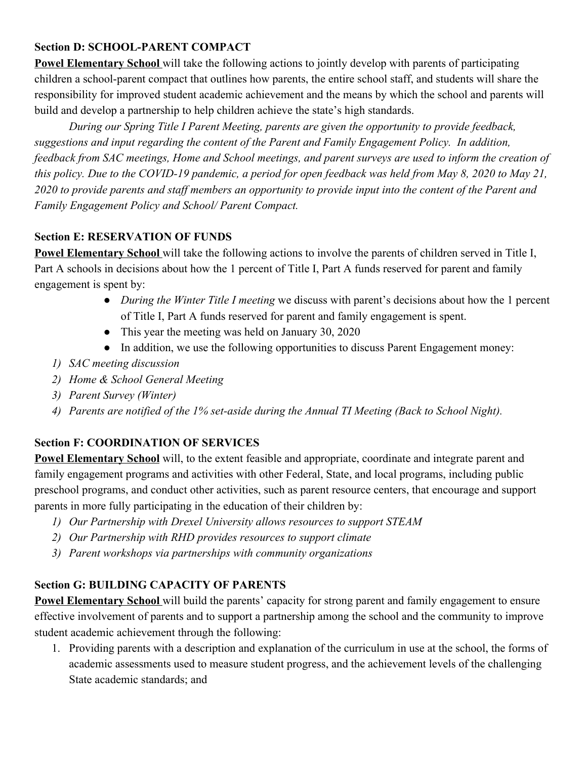## **Section D: SCHOOL-PARENT COMPACT**

**Powel Elementary School** will take the following actions to jointly develop with parents of participating children a school-parent compact that outlines how parents, the entire school staff, and students will share the responsibility for improved student academic achievement and the means by which the school and parents will build and develop a partnership to help children achieve the state's high standards.

*During our Spring Title I Parent Meeting, parents are given the opportunity to provide feedback, suggestions and input regarding the content of the Parent and Family Engagement Policy. In addition, feedback from SAC meetings, Home and School meetings, and parent surveys are used to inform the creation of this policy. Due to the COVID-19 pandemic, a period for open feedback was held from May 8, 2020 to May 21, 2020 to provide parents and staff members an opportunity to provide input into the content of the Parent and Family Engagement Policy and School/ Parent Compact.*

## **Section E: RESERVATION OF FUNDS**

**Powel Elementary School** will take the following actions to involve the parents of children served in Title I, Part A schools in decisions about how the 1 percent of Title I, Part A funds reserved for parent and family engagement is spent by:

- *During the Winter Title I meeting* we discuss with parent's decisions about how the 1 percent of Title I, Part A funds reserved for parent and family engagement is spent.
- This year the meeting was held on January 30, 2020
- In addition, we use the following opportunities to discuss Parent Engagement money:
- *1) SAC meeting discussion*
- *2) Home & School General Meeting*
- *3) Parent Survey (Winter)*
- *4) Parents are notified of the 1% set-aside during the Annual TI Meeting (Back to School Night).*

## **Section F: COORDINATION OF SERVICES**

**Powel Elementary School** will, to the extent feasible and appropriate, coordinate and integrate parent and family engagement programs and activities with other Federal, State, and local programs, including public preschool programs, and conduct other activities, such as parent resource centers, that encourage and support parents in more fully participating in the education of their children by:

- *1) Our Partnership with Drexel University allows resources to support STEAM*
- *2) Our Partnership with RHD provides resources to support climate*
- *3) Parent workshops via partnerships with community organizations*

## **Section G: BUILDING CAPACITY OF PARENTS**

**Powel Elementary School** will build the parents' capacity for strong parent and family engagement to ensure effective involvement of parents and to support a partnership among the school and the community to improve student academic achievement through the following:

1. Providing parents with a description and explanation of the curriculum in use at the school, the forms of academic assessments used to measure student progress, and the achievement levels of the challenging State academic standards; and